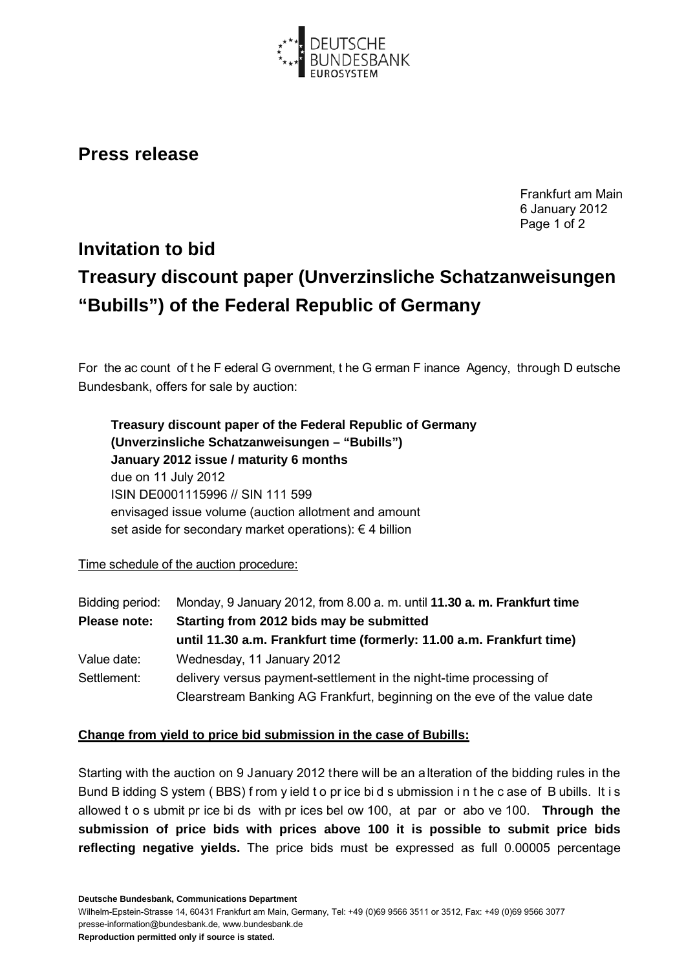

## **Press release**

Frankfurt am Main 6 January 2012 Page 1 of 2

## **Invitation to bid Treasury discount paper (Unverzinsliche Schatzanweisungen "Bubills") of the Federal Republic of Germany**

For the ac count of t he F ederal G overnment, t he G erman F inance Agency, through D eutsche Bundesbank, offers for sale by auction:

| Treasury discount paper of the Federal Republic of Germany       |
|------------------------------------------------------------------|
| (Unverzinsliche Schatzanweisungen - "Bubills")                   |
| January 2012 issue / maturity 6 months                           |
| due on 11 July 2012                                              |
| ISIN DE0001115996 // SIN 111 599                                 |
| envisaged issue volume (auction allotment and amount             |
| set aside for secondary market operations): $\epsilon$ 4 billion |

## Time schedule of the auction procedure:

| Bidding period: | Monday, 9 January 2012, from 8.00 a. m. until 11.30 a. m. Frankfurt time |
|-----------------|--------------------------------------------------------------------------|
| Please note:    | Starting from 2012 bids may be submitted                                 |
|                 | until 11.30 a.m. Frankfurt time (formerly: 11.00 a.m. Frankfurt time)    |
| Value date:     | Wednesday, 11 January 2012                                               |
| Settlement:     | delivery versus payment-settlement in the night-time processing of       |
|                 | Clearstream Banking AG Frankfurt, beginning on the eve of the value date |

## **Change from yield to price bid submission in the case of Bubills:**

Starting with the auction on 9 January 2012 there will be an alteration of the bidding rules in the Bund B idding S ystem ( BBS) f rom y ield t o pr ice bi d s ubmission i n t he c ase of B ubills. It i s allowed t o s ubmit pr ice bi ds with pr ices bel ow 100, at par or abo ve 100. **Through the submission of price bids with prices above 100 it is possible to submit price bids reflecting negative yields.** The price bids must be expressed as full 0.00005 percentage

**Deutsche Bundesbank, Communications Department**

Wilhelm-Epstein-Strasse 14, 60431 Frankfurt am Main, Germany, Tel: +49 (0)69 9566 3511 or 3512, Fax: +49 (0)69 9566 3077 presse-information@bundesbank.de, www.bundesbank.de

**Reproduction permitted only if source is stated.**